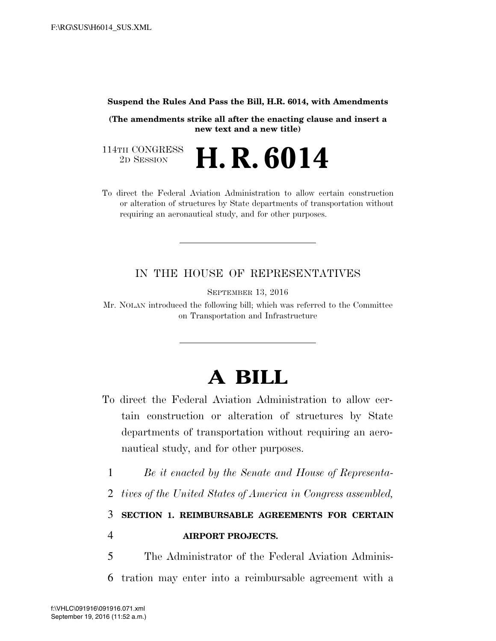## **Suspend the Rules And Pass the Bill, H.R. 6014, with Amendments**

**(The amendments strike all after the enacting clause and insert a new text and a new title)** 

114TH CONGRESS<br>2D SESSION 2D SESSION **H. R. 6014** 

To direct the Federal Aviation Administration to allow certain construction or alteration of structures by State departments of transportation without requiring an aeronautical study, and for other purposes.

## IN THE HOUSE OF REPRESENTATIVES

SEPTEMBER 13, 2016

Mr. NOLAN introduced the following bill; which was referred to the Committee on Transportation and Infrastructure

## **A BILL**

- To direct the Federal Aviation Administration to allow certain construction or alteration of structures by State departments of transportation without requiring an aeronautical study, and for other purposes.
	- 1 *Be it enacted by the Senate and House of Representa-*
	- 2 *tives of the United States of America in Congress assembled,*

3 **SECTION 1. REIMBURSABLE AGREEMENTS FOR CERTAIN**  4 **AIRPORT PROJECTS.** 

5 The Administrator of the Federal Aviation Adminis-6 tration may enter into a reimbursable agreement with a